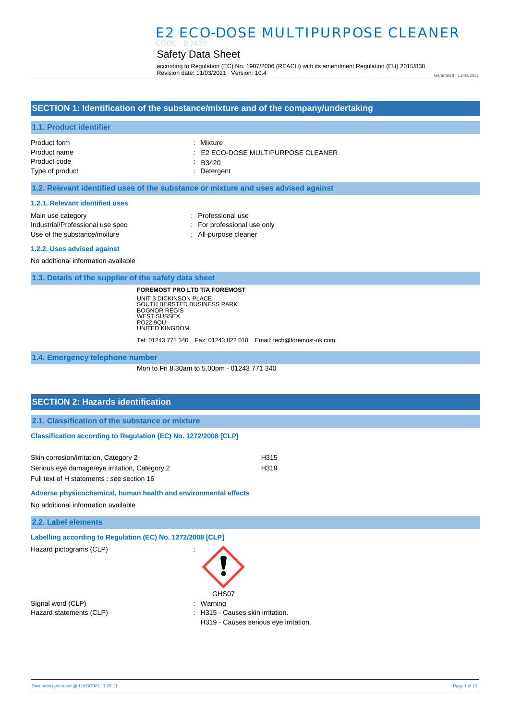# Safety Data Sheet

according to Regulation (EC) No. 1907/2006 (REACH) with its amendment Regulation (EU) 2015/830 Revision date: 11/03/2021 Version: 10.4

Generated : 11/03/2021

## **SECTION 1: Identification of the substance/mixture and of the company/undertaking**

### **1.1. Product identifier**

| Product form    | : Mixture                                     |
|-----------------|-----------------------------------------------|
| Product name    | $\therefore$ E2 ECO-DOSE MULTIPURPOSE CLEANER |
| Product code    | $-B3420$                                      |
| Type of product | : Detergent                                   |

### **1.2. Relevant identified uses of the substance or mixture and uses advised against**

### **1.2.1. Relevant identified uses**

| Main use category                |
|----------------------------------|
| Industrial/Professional use spec |
| Use of the substance/mixture     |

- : Professional use
- : For professional use only
- : All-purpose cleaner

### **1.2.2. Uses advised against**

No additional information available

**1.3. Details of the supplier of the safety data sheet**

**FOREMOST PRO LTD T/A FOREMOST** UNIT 3 DICKINSON PLACE SOUTH BERSTED BUSINESS PARK BOGNOR REGIS WEST SUSSEX PO22 9QU UNITED KINGDOM

Tel: 01243 771 340 Fax: 01243 822 010 Email: tech@foremost-uk.com

### **1.4. Emergency telephone number**

Mon to Fri 8.30am to 5.00pm - 01243 771 340

## **SECTION 2: Hazards identification**

**2.1. Classification of the substance or mixture**

### **Classification according to Regulation (EC) No. 1272/2008 [CLP]**

| Skin corrosion/irritation, Category 2         | H315             |
|-----------------------------------------------|------------------|
| Serious eye damage/eye irritation, Category 2 | H <sub>319</sub> |
| Full text of H statements : see section 16    |                  |

### **Adverse physicochemical, human health and environmental effects**

No additional information available

**2.2. Label elements**

**Labelling according to Regulation (EC) No. 1272/2008 [CLP]** 

Hazard pictograms (CLP) :

Signal word (CLP)  $\qquad \qquad$ : Warning



H319 - Causes serious eye irritation.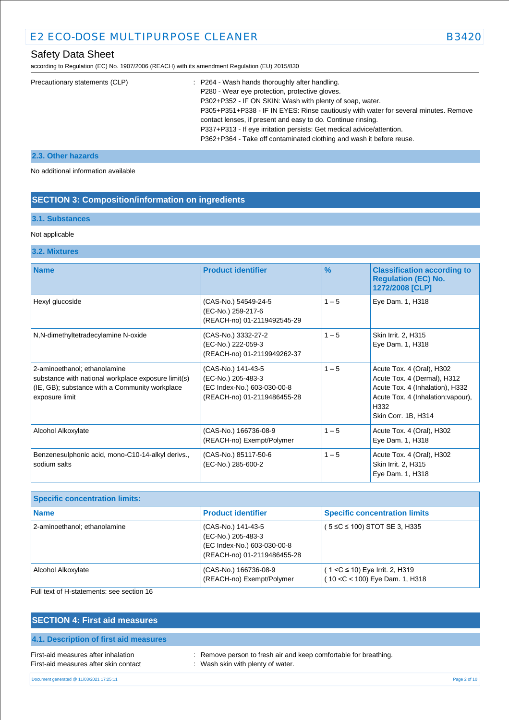according to Regulation (EC) No. 1907/2006 (REACH) with its amendment Regulation (EU) 2015/830

| Precautionary statements (CLP) | : P264 - Wash hands thoroughly after handling.                                       |
|--------------------------------|--------------------------------------------------------------------------------------|
|                                | P280 - Wear eye protection, protective gloves.                                       |
|                                | P302+P352 - IF ON SKIN: Wash with plenty of soap, water.                             |
|                                | P305+P351+P338 - IF IN EYES: Rinse cautiously with water for several minutes. Remove |
|                                | contact lenses, if present and easy to do. Continue rinsing.                         |
|                                | P337+P313 - If eye irritation persists: Get medical advice/attention.                |
|                                | P362+P364 - Take off contaminated clothing and wash it before reuse.                 |

### **2.3. Other hazards**

No additional information available

### **SECTION 3: Composition/information on ingredients**

### **3.1. Substances**

### Not applicable

## **3.2. Mixtures**

| <b>Name</b>                                                                                                                                             | <b>Product identifier</b>                                                                              | $\frac{9}{6}$ | <b>Classification according to</b><br><b>Regulation (EC) No.</b><br>1272/2008 [CLP]                                                                              |
|---------------------------------------------------------------------------------------------------------------------------------------------------------|--------------------------------------------------------------------------------------------------------|---------------|------------------------------------------------------------------------------------------------------------------------------------------------------------------|
| Hexyl glucoside                                                                                                                                         | (CAS-No.) 54549-24-5<br>(EC-No.) 259-217-6<br>(REACH-no) 01-2119492545-29                              | $1 - 5$       | Eye Dam. 1, H318                                                                                                                                                 |
| N,N-dimethyltetradecylamine N-oxide                                                                                                                     | (CAS-No.) 3332-27-2<br>(EC-No.) 222-059-3<br>(REACH-no) 01-2119949262-37                               | $1 - 5$       | Skin Irrit. 2, H315<br>Eye Dam. 1, H318                                                                                                                          |
| 2-aminoethanol; ethanolamine<br>substance with national workplace exposure limit(s)<br>(IE, GB); substance with a Community workplace<br>exposure limit | (CAS-No.) 141-43-5<br>(EC-No.) 205-483-3<br>(EC Index-No.) 603-030-00-8<br>(REACH-no) 01-2119486455-28 | $1 - 5$       | Acute Tox. 4 (Oral), H302<br>Acute Tox. 4 (Dermal), H312<br>Acute Tox. 4 (Inhalation), H332<br>Acute Tox. 4 (Inhalation: vapour),<br>H332<br>Skin Corr. 1B, H314 |
| Alcohol Alkoxylate                                                                                                                                      | (CAS-No.) 166736-08-9<br>(REACH-no) Exempt/Polymer                                                     | $1 - 5$       | Acute Tox. 4 (Oral), H302<br>Eye Dam. 1, H318                                                                                                                    |
| Benzenesulphonic acid, mono-C10-14-alkyl derivs.,<br>sodium salts                                                                                       | (CAS-No.) 85117-50-6<br>(EC-No.) 285-600-2                                                             | $1 - 5$       | Acute Tox. 4 (Oral), H302<br>Skin Irrit. 2, H315<br>Eye Dam. 1, H318                                                                                             |

| <b>Specific concentration limits:</b> |                                                                                                        |                                                                        |  |
|---------------------------------------|--------------------------------------------------------------------------------------------------------|------------------------------------------------------------------------|--|
| <b>Name</b>                           | <b>Product identifier</b>                                                                              | <b>Specific concentration limits</b>                                   |  |
| 2-aminoethanol; ethanolamine          | (CAS-No.) 141-43-5<br>(EC-No.) 205-483-3<br>(EC Index-No.) 603-030-00-8<br>(REACH-no) 01-2119486455-28 | (5 ≤C ≤ 100) STOT SE 3, H335                                           |  |
| Alcohol Alkoxylate                    | (CAS-No.) 166736-08-9<br>(REACH-no) Exempt/Polymer                                                     | $(1 < C \le 10)$ Eye Irrit. 2, H319<br>(10 < C < 100) Eye Dam. 1, H318 |  |

### Full text of H-statements: see section 16

# **SECTION 4: First aid measures 4.1. Description of first aid measures** First-aid measures after inhalation : Remove person to fresh air and keep comfortable for breathing. First-aid measures after skin contact : Wash skin with plenty of water.

Document generated @ 11/03/2021 17:25:11 Page 2 of 10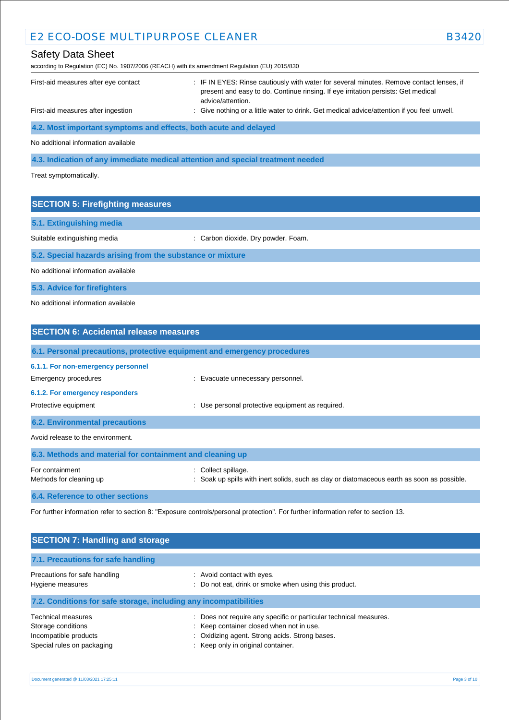according to Regulation (EC) No. 1907/2006 (REACH) with its amendment Regulation (EU) 2015/830

| First-aid measures after eye contact | : IF IN EYES: Rinse cautiously with water for several minutes. Remove contact lenses, if<br>present and easy to do. Continue rinsing. If eye irritation persists: Get medical |
|--------------------------------------|-------------------------------------------------------------------------------------------------------------------------------------------------------------------------------|
| First-aid measures after ingestion   | advice/attention.<br>: Give nothing or a little water to drink. Get medical advice/attention if you feel unwell.                                                              |

**4.2. Most important symptoms and effects, both acute and delayed**

No additional information available

**4.3. Indication of any immediate medical attention and special treatment needed**

Treat symptomatically.

| <b>SECTION 5: Firefighting measures</b>                    |                                     |  |
|------------------------------------------------------------|-------------------------------------|--|
| 5.1. Extinguishing media                                   |                                     |  |
| Suitable extinguishing media                               | : Carbon dioxide. Dry powder. Foam. |  |
| 5.2. Special hazards arising from the substance or mixture |                                     |  |
| No additional information available                        |                                     |  |

**5.3. Advice for firefighters**

No additional information available

| <b>SECTION 6: Accidental release measures</b>                            |                                                                                                                     |  |  |
|--------------------------------------------------------------------------|---------------------------------------------------------------------------------------------------------------------|--|--|
| 6.1. Personal precautions, protective equipment and emergency procedures |                                                                                                                     |  |  |
| 6.1.1. For non-emergency personnel<br>Emergency procedures               | : Evacuate unnecessary personnel.                                                                                   |  |  |
| 6.1.2. For emergency responders<br>Protective equipment                  | Use personal protective equipment as required.<br>÷                                                                 |  |  |
| <b>6.2. Environmental precautions</b>                                    |                                                                                                                     |  |  |
| Avoid release to the environment.                                        |                                                                                                                     |  |  |
| 6.3. Methods and material for containment and cleaning up                |                                                                                                                     |  |  |
| For containment<br>Methods for cleaning up                               | Collect spillage.<br>÷<br>Soak up spills with inert solids, such as clay or diatomaceous earth as soon as possible. |  |  |
| <b>6.4. Reference to other sections</b>                                  |                                                                                                                     |  |  |

For further information refer to section 8: "Exposure controls/personal protection". For further information refer to section 13.

| <b>SECTION 7: Handling and storage</b>                                                                 |                                                                                                                                                                                                       |  |  |
|--------------------------------------------------------------------------------------------------------|-------------------------------------------------------------------------------------------------------------------------------------------------------------------------------------------------------|--|--|
| 7.1. Precautions for safe handling                                                                     |                                                                                                                                                                                                       |  |  |
| Precautions for safe handling<br>Hygiene measures                                                      | : Avoid contact with eyes.<br>: Do not eat, drink or smoke when using this product.                                                                                                                   |  |  |
| 7.2. Conditions for safe storage, including any incompatibilities                                      |                                                                                                                                                                                                       |  |  |
| <b>Technical measures</b><br>Storage conditions<br>Incompatible products<br>Special rules on packaging | : Does not require any specific or particular technical measures.<br>: Keep container closed when not in use.<br>: Oxidizing agent. Strong acids. Strong bases.<br>: Keep only in original container. |  |  |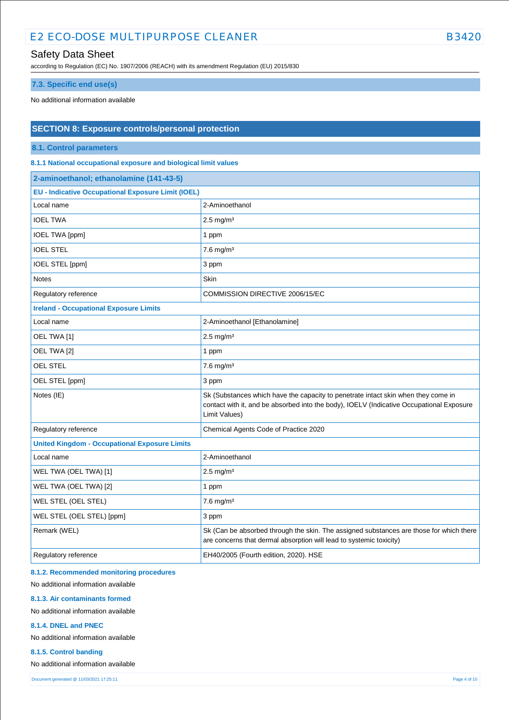## Safety Data Sheet

according to Regulation (EC) No. 1907/2006 (REACH) with its amendment Regulation (EU) 2015/830

### **7.3. Specific end use(s)**

No additional information available

## **SECTION 8: Exposure controls/personal protection**

**8.1. Control parameters**

**8.1.1 National occupational exposure and biological limit values** 

| 2-aminoethanol; ethanolamine (141-43-5)                   |                                                                                                                                                                                                |  |  |
|-----------------------------------------------------------|------------------------------------------------------------------------------------------------------------------------------------------------------------------------------------------------|--|--|
| <b>EU - Indicative Occupational Exposure Limit (IOEL)</b> |                                                                                                                                                                                                |  |  |
| Local name                                                | 2-Aminoethanol                                                                                                                                                                                 |  |  |
| <b>IOEL TWA</b>                                           | $2.5 \text{ mg/m}^3$                                                                                                                                                                           |  |  |
| <b>IOEL TWA [ppm]</b>                                     | 1 ppm                                                                                                                                                                                          |  |  |
| <b>IOEL STEL</b>                                          | $7.6$ mg/m <sup>3</sup>                                                                                                                                                                        |  |  |
| IOEL STEL [ppm]                                           | 3 ppm                                                                                                                                                                                          |  |  |
| <b>Notes</b>                                              | Skin                                                                                                                                                                                           |  |  |
| Regulatory reference                                      | COMMISSION DIRECTIVE 2006/15/EC                                                                                                                                                                |  |  |
| <b>Ireland - Occupational Exposure Limits</b>             |                                                                                                                                                                                                |  |  |
| Local name                                                | 2-Aminoethanol [Ethanolamine]                                                                                                                                                                  |  |  |
| OEL TWA [1]                                               | $2.5 \text{ mg/m}^3$                                                                                                                                                                           |  |  |
| OEL TWA [2]                                               | 1 ppm                                                                                                                                                                                          |  |  |
| OEL STEL                                                  | $7.6$ mg/m $3$                                                                                                                                                                                 |  |  |
| OEL STEL [ppm]                                            | 3 ppm                                                                                                                                                                                          |  |  |
| Notes (IE)                                                | Sk (Substances which have the capacity to penetrate intact skin when they come in<br>contact with it, and be absorbed into the body), IOELV (Indicative Occupational Exposure<br>Limit Values) |  |  |
| Regulatory reference                                      | Chemical Agents Code of Practice 2020                                                                                                                                                          |  |  |
| <b>United Kingdom - Occupational Exposure Limits</b>      |                                                                                                                                                                                                |  |  |
| Local name                                                | 2-Aminoethanol                                                                                                                                                                                 |  |  |
| WEL TWA (OEL TWA) [1]                                     | $2.5 \text{ mg/m}^3$                                                                                                                                                                           |  |  |
| WEL TWA (OEL TWA) [2]                                     | 1 ppm                                                                                                                                                                                          |  |  |
| WEL STEL (OEL STEL)                                       | $7.6$ mg/m <sup>3</sup>                                                                                                                                                                        |  |  |
| WEL STEL (OEL STEL) [ppm]                                 | 3 ppm                                                                                                                                                                                          |  |  |
| Remark (WEL)                                              | Sk (Can be absorbed through the skin. The assigned substances are those for which there<br>are concerns that dermal absorption will lead to systemic toxicity)                                 |  |  |
| Regulatory reference                                      | EH40/2005 (Fourth edition, 2020). HSE                                                                                                                                                          |  |  |

### **8.1.2. Recommended monitoring procedures**

No additional information available

#### **8.1.3. Air contaminants formed**

No additional information available

### **8.1.4. DNEL and PNEC**

No additional information available

### **8.1.5. Control banding**

No additional information available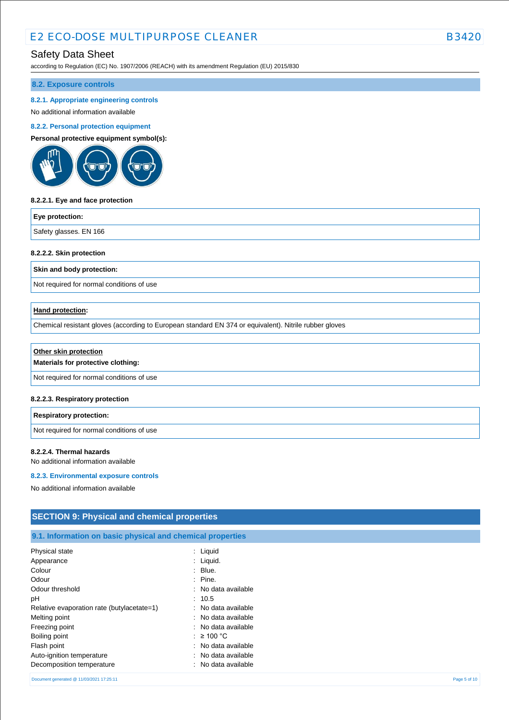## Safety Data Sheet

according to Regulation (EC) No. 1907/2006 (REACH) with its amendment Regulation (EU) 2015/830

### **8.2. Exposure controls**

### **8.2.1. Appropriate engineering controls**

No additional information available

### **8.2.2. Personal protection equipment**

**Personal protective equipment symbol(s):**



### **8.2.2.1. Eye and face protection**

# **Eye protection:** Safety glasses. EN 166

### **8.2.2.2. Skin protection**

**Skin and body protection:**

Not required for normal conditions of use

### **Hand protection:**

Chemical resistant gloves (according to European standard EN 374 or equivalent). Nitrile rubber gloves

| Other skin protection                     |  |
|-------------------------------------------|--|
| Materials for protective clothing:        |  |
| Not required for normal conditions of use |  |

### **8.2.2.3. Respiratory protection**

### **Respiratory protection:**

Not required for normal conditions of use

### **8.2.2.4. Thermal hazards**

No additional information available

### **8.2.3. Environmental exposure controls**

No additional information available

# **SECTION 9: Physical and chemical properties**

## **9.1. Information on basic physical and chemical properties**

| Physical state                             | Liquid              |
|--------------------------------------------|---------------------|
| Appearance                                 | $:$ Liquid.         |
| Colour                                     | Blue.               |
| Odour                                      | $:$ Pine.           |
| Odour threshold                            | No data available   |
| рH                                         | : 10.5              |
| Relative evaporation rate (butylacetate=1) | : No data available |
| Melting point                              | : No data available |
| Freezing point                             | No data available   |
| Boiling point                              | : ≥ 100 °C          |
| Flash point                                | No data available   |
| Auto-ignition temperature                  | : No data available |
| Decomposition temperature                  | No data available   |
|                                            |                     |

Document generated @ 11/03/2021 17:25:11 Page 5 of 10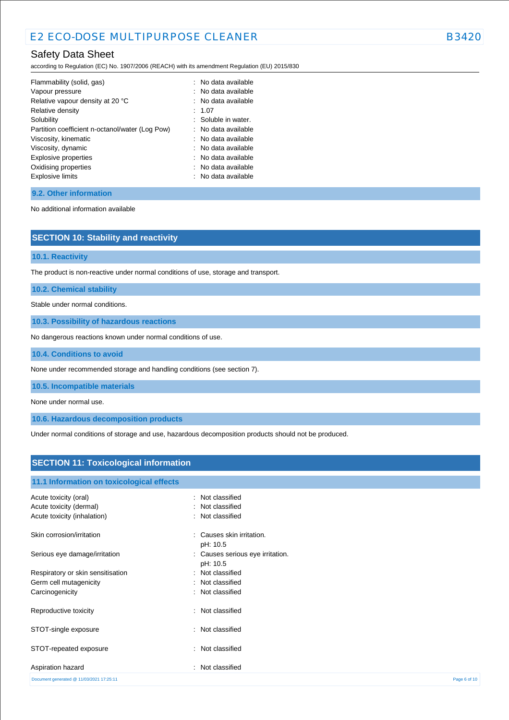# Safety Data Sheet

according to Regulation (EC) No. 1907/2006 (REACH) with its amendment Regulation (EU) 2015/830

| Flammability (solid, gas)                       | : No data available |
|-------------------------------------------------|---------------------|
| Vapour pressure                                 | : No data available |
| Relative vapour density at 20 °C                | : No data available |
| Relative density                                | : 1.07              |
| Solubility                                      | : Soluble in water. |
| Partition coefficient n-octanol/water (Log Pow) | : No data available |
| Viscosity, kinematic                            | : No data available |
| Viscosity, dynamic                              | : No data available |
| Explosive properties                            | : No data available |
| Oxidising properties                            | : No data available |
| <b>Explosive limits</b>                         | : No data available |

**9.2. Other information**

No additional information available

**SECTION 10: Stability and reactivity**

**10.1. Reactivity**

The product is non-reactive under normal conditions of use, storage and transport.

**10.2. Chemical stability**

Stable under normal conditions.

**10.3. Possibility of hazardous reactions**

No dangerous reactions known under normal conditions of use.

**10.4. Conditions to avoid**

None under recommended storage and handling conditions (see section 7).

**10.5. Incompatible materials**

None under normal use.

**10.6. Hazardous decomposition products**

Under normal conditions of storage and use, hazardous decomposition products should not be produced.

# **SECTION 11: Toxicological information**

| <b>ULUTION TT. TUAICUID GIUM INTERNATIONE</b> |                                            |              |
|-----------------------------------------------|--------------------------------------------|--------------|
| 11.1 Information on toxicological effects     |                                            |              |
| Acute toxicity (oral)                         | Not classified<br>$\blacksquare$           |              |
| Acute toxicity (dermal)                       | Not classified                             |              |
| Acute toxicity (inhalation)                   | Not classified                             |              |
| Skin corrosion/irritation                     | Causes skin irritation.<br>٠<br>pH: 10.5   |              |
| Serious eye damage/irritation                 | Causes serious eye irritation.<br>pH: 10.5 |              |
| Respiratory or skin sensitisation             | Not classified<br>÷                        |              |
| Germ cell mutagenicity                        | Not classified                             |              |
| Carcinogenicity                               | Not classified<br>٠                        |              |
| Reproductive toxicity                         | Not classified<br>÷                        |              |
| STOT-single exposure                          | : Not classified                           |              |
| STOT-repeated exposure                        | Not classified<br>÷                        |              |
| Aspiration hazard                             | Not classified<br>÷                        |              |
| Document generated @ 11/03/2021 17:25:11      |                                            | Page 6 of 10 |
|                                               |                                            |              |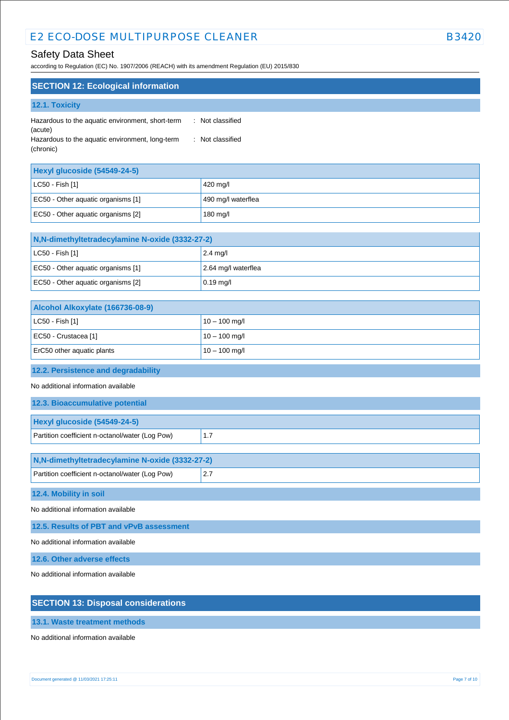# Safety Data Sheet

according to Regulation (EC) No. 1907/2006 (REACH) with its amendment Regulation (EU) 2015/830

| <b>SECTION 12: Ecological information</b>                   |                  |
|-------------------------------------------------------------|------------------|
| 12.1. Toxicity                                              |                  |
| Hazardous to the aquatic environment, short-term<br>(acute) | : Not classified |
| Hazardous to the aquatic environment, long-term             | Not classified   |

(chronic)

| Hexyl glucoside (54549-24-5)       |                    |
|------------------------------------|--------------------|
| $ $ LC50 - Fish [1]                | 420 mg/l           |
| EC50 - Other aquatic organisms [1] | 490 mg/l waterflea |
| EC50 - Other aquatic organisms [2] | 180 mg/l           |

| N, N-dimethyltetradecylamine N-oxide (3332-27-2)                 |                     |  |
|------------------------------------------------------------------|---------------------|--|
| $ $ LC50 - Fish [1]                                              | $2.4 \text{ mg}/I$  |  |
| EC50 - Other aquatic organisms [1]                               | 2.64 mg/l waterflea |  |
| EC50 - Other aguatic organisms [2]<br>$\vert 0.19 \text{ m}$ a/l |                     |  |

| Alcohol Alkoxylate (166736-08-9) |                 |
|----------------------------------|-----------------|
| $ $ LC50 - Fish [1]              | $10 - 100$ mg/l |
| EC50 - Crustacea [1]             | $10 - 100$ mg/l |
| ErC50 other aquatic plants       | $10 - 100$ mg/l |
|                                  |                 |

## **12.2. Persistence and degradability**

No additional information available

| 12.3. Bioaccumulative potential                 |     |
|-------------------------------------------------|-----|
| Hexyl glucoside (54549-24-5)                    |     |
| Partition coefficient n-octanol/water (Log Pow) | 1.7 |
|                                                 |     |
| N,N-dimethyltetradecylamine N-oxide (3332-27-2) |     |
| Partition coefficient n-octanol/water (Log Pow) | 2.7 |
| 12.4. Mobility in soil                          |     |
| No additional information available             |     |
| 12.5. Results of PBT and vPvB assessment        |     |
| No additional information available             |     |
| 12.6. Other adverse effects                     |     |

No additional information available

# **SECTION 13: Disposal considerations**

**13.1. Waste treatment methods**

No additional information available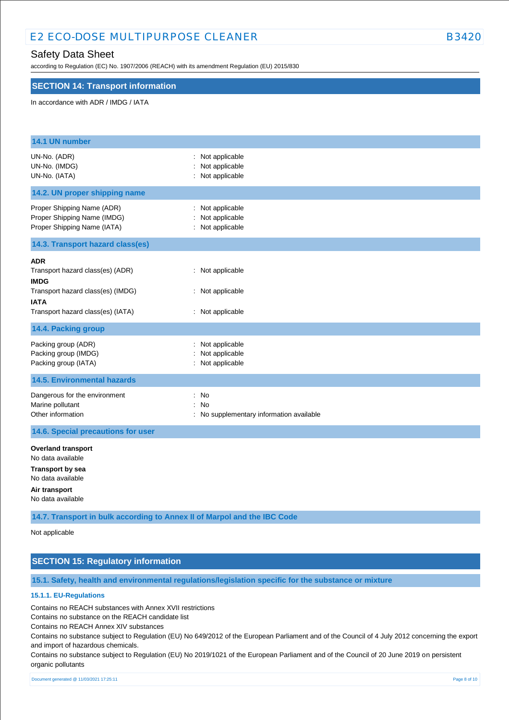## Safety Data Sheet

according to Regulation (EC) No. 1907/2006 (REACH) with its amendment Regulation (EU) 2015/830

### **SECTION 14: Transport information**

In accordance with ADR / IMDG / IATA

| 14.1 UN number                                                                                                                                         |                                                          |
|--------------------------------------------------------------------------------------------------------------------------------------------------------|----------------------------------------------------------|
| UN-No. (ADR)<br>UN-No. (IMDG)<br>UN-No. (IATA)                                                                                                         | : Not applicable<br>: Not applicable<br>: Not applicable |
| 14.2. UN proper shipping name                                                                                                                          |                                                          |
| Proper Shipping Name (ADR)<br>Proper Shipping Name (IMDG)<br>Proper Shipping Name (IATA)                                                               | : Not applicable<br>: Not applicable<br>: Not applicable |
| 14.3. Transport hazard class(es)                                                                                                                       |                                                          |
| <b>ADR</b><br>Transport hazard class(es) (ADR)<br><b>IMDG</b><br>Transport hazard class(es) (IMDG)<br><b>IATA</b><br>Transport hazard class(es) (IATA) | : Not applicable<br>: Not applicable<br>: Not applicable |
| 14.4. Packing group                                                                                                                                    |                                                          |
| Packing group (ADR)<br>Packing group (IMDG)<br>Packing group (IATA)                                                                                    | Not applicable<br>Not applicable<br>: Not applicable     |
| <b>14.5. Environmental hazards</b>                                                                                                                     |                                                          |
| Dangerous for the environment<br>Marine pollutant<br>Other information                                                                                 | : No<br>: No<br>: No supplementary information available |
| 14.6. Special precautions for user                                                                                                                     |                                                          |
| <b>Overland transport</b><br>No data available<br><b>Transport by sea</b><br>No data available<br>Air transport<br>No data available                   |                                                          |

**14.7. Transport in bulk according to Annex II of Marpol and the IBC Code**

Not applicable

## **SECTION 15: Regulatory information**

**15.1. Safety, health and environmental regulations/legislation specific for the substance or mixture**

### **15.1.1. EU-Regulations**

Contains no REACH substances with Annex XVII restrictions

Contains no substance on the REACH candidate list

Contains no REACH Annex XIV substances

Contains no substance subject to Regulation (EU) No 649/2012 of the European Parliament and of the Council of 4 July 2012 concerning the export and import of hazardous chemicals.

Contains no substance subject to Regulation (EU) No 2019/1021 of the European Parliament and of the Council of 20 June 2019 on persistent organic pollutants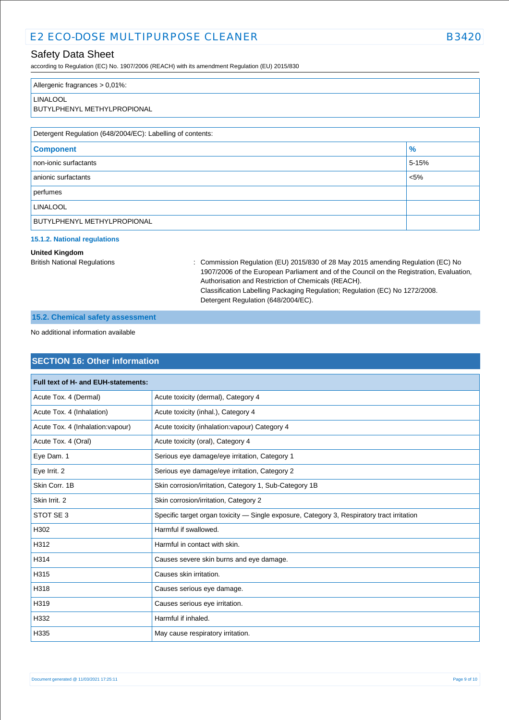according to Regulation (EC) No. 1907/2006 (REACH) with its amendment Regulation (EU) 2015/830

| Allergenic fragrances > 0,01%:                 |
|------------------------------------------------|
| <b>LINALOOL</b><br>BUTYLPHENYL METHYLPROPIONAL |
|                                                |

| Detergent Regulation (648/2004/EC): Labelling of contents: |               |  |
|------------------------------------------------------------|---------------|--|
| <b>Component</b>                                           | $\frac{9}{6}$ |  |
| non-ionic surfactants                                      | 5-15%         |  |
| anionic surfactants                                        | $< 5\%$       |  |
| perfumes                                                   |               |  |
| <b>LINALOOL</b>                                            |               |  |
| BUTYLPHENYL METHYLPROPIONAL                                |               |  |

### **15.1.2. National regulations**

### **United Kingdom**

British National Regulations : Commission Regulation (EU) 2015/830 of 28 May 2015 amending Regulation (EC) No 1907/2006 of the European Parliament and of the Council on the Registration, Evaluation, Authorisation and Restriction of Chemicals (REACH). Classification Labelling Packaging Regulation; Regulation (EC) No 1272/2008. Detergent Regulation (648/2004/EC).

## **15.2. Chemical safety assessment**

## No additional information available

# **SECTION 16: Other information**

| Full text of H- and EUH-statements: |                                                                                            |
|-------------------------------------|--------------------------------------------------------------------------------------------|
| Acute Tox. 4 (Dermal)               | Acute toxicity (dermal), Category 4                                                        |
| Acute Tox. 4 (Inhalation)           | Acute toxicity (inhal.), Category 4                                                        |
| Acute Tox. 4 (Inhalation: vapour)   | Acute toxicity (inhalation: vapour) Category 4                                             |
| Acute Tox. 4 (Oral)                 | Acute toxicity (oral), Category 4                                                          |
| Eye Dam. 1                          | Serious eye damage/eye irritation, Category 1                                              |
| Eye Irrit. 2                        | Serious eye damage/eye irritation, Category 2                                              |
| Skin Corr. 1B                       | Skin corrosion/irritation, Category 1, Sub-Category 1B                                     |
| Skin Irrit. 2                       | Skin corrosion/irritation, Category 2                                                      |
| STOT SE 3                           | Specific target organ toxicity — Single exposure, Category 3, Respiratory tract irritation |
| H302                                | Harmful if swallowed.                                                                      |
| H312                                | Harmful in contact with skin.                                                              |
| H314                                | Causes severe skin burns and eye damage.                                                   |
| H315                                | Causes skin irritation.                                                                    |
| H318                                | Causes serious eye damage.                                                                 |
| H319                                | Causes serious eye irritation.                                                             |
| H332                                | Harmful if inhaled.                                                                        |
| H335                                | May cause respiratory irritation.                                                          |